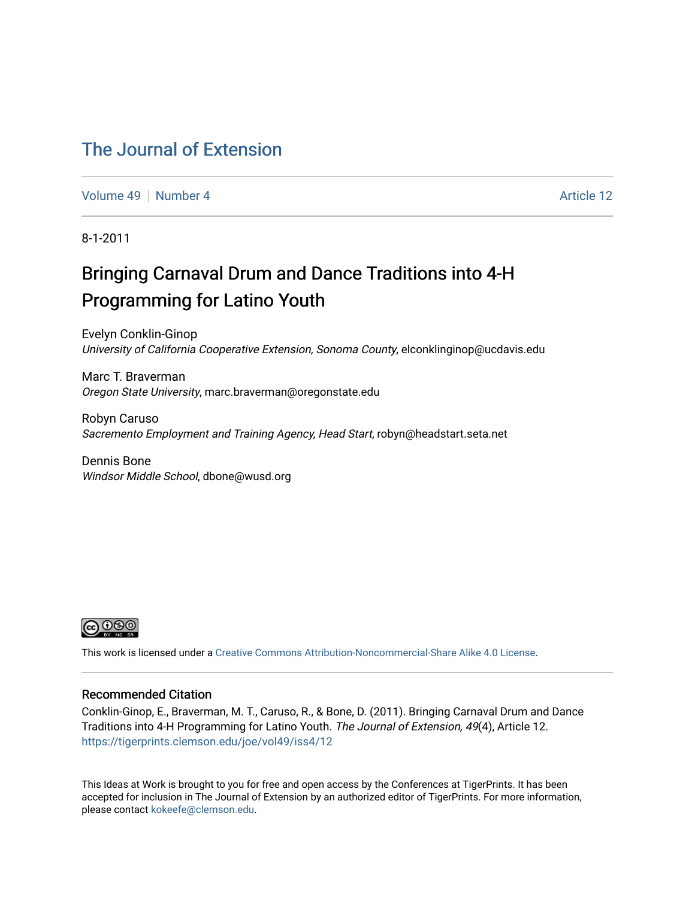#### [The Journal of Extension](https://tigerprints.clemson.edu/joe)

[Volume 49](https://tigerprints.clemson.edu/joe/vol49) [Number 4](https://tigerprints.clemson.edu/joe/vol49/iss4) Article 12

8-1-2011

## Bringing Carnaval Drum and Dance Traditions into 4-H Programming for Latino Youth

Evelyn Conklin-Ginop University of California Cooperative Extension, Sonoma County, elconklinginop@ucdavis.edu

Marc T. Braverman Oregon State University, marc.braverman@oregonstate.edu

Robyn Caruso Sacremento Employment and Training Agency, Head Start, robyn@headstart.seta.net

Dennis Bone Windsor Middle School, dbone@wusd.org



This work is licensed under a [Creative Commons Attribution-Noncommercial-Share Alike 4.0 License.](https://creativecommons.org/licenses/by-nc-sa/4.0/)

#### Recommended Citation

Conklin-Ginop, E., Braverman, M. T., Caruso, R., & Bone, D. (2011). Bringing Carnaval Drum and Dance Traditions into 4-H Programming for Latino Youth. The Journal of Extension, 49(4), Article 12. <https://tigerprints.clemson.edu/joe/vol49/iss4/12>

This Ideas at Work is brought to you for free and open access by the Conferences at TigerPrints. It has been accepted for inclusion in The Journal of Extension by an authorized editor of TigerPrints. For more information, please contact [kokeefe@clemson.edu](mailto:kokeefe@clemson.edu).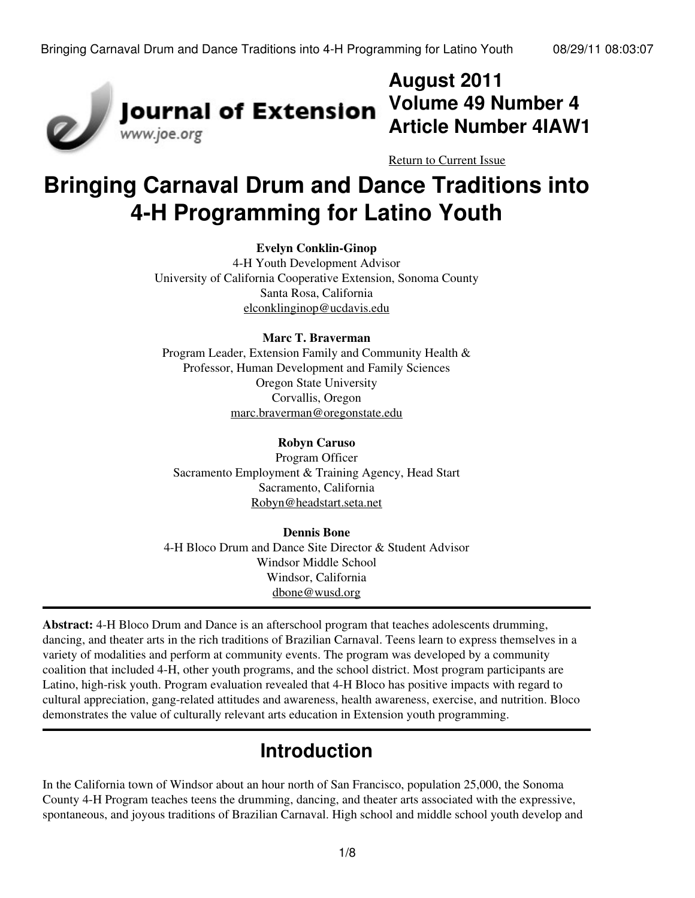

# **August 2011 Volume 49 Number 4 Article Number 4IAW1**

[Return to Current Issue](http://www.joe.org:80/joe/2011august/)

# **Bringing Carnaval Drum and Dance Traditions into 4-H Programming for Latino Youth**

#### **Evelyn Conklin-Ginop**

4-H Youth Development Advisor University of California Cooperative Extension, Sonoma County Santa Rosa, California [elconklinginop@ucdavis.edu](mailto:elconklinginop@ucdavic.edu)

#### **Marc T. Braverman**

Program Leader, Extension Family and Community Health & Professor, Human Development and Family Sciences Oregon State University Corvallis, Oregon [marc.braverman@oregonstate.edu](mailto:marc.braverman@oregonstate.edu)

#### **Robyn Caruso**

Program Officer Sacramento Employment & Training Agency, Head Start Sacramento, California [Robyn@headstart.seta.net](mailto:Robyn@headstart.seta.net)

#### **Dennis Bone**

4-H Bloco Drum and Dance Site Director & Student Advisor Windsor Middle School Windsor, California [dbone@wusd.org](mailto:dbone@wusd.org)

**Abstract:** 4-H Bloco Drum and Dance is an afterschool program that teaches adolescents drumming, dancing, and theater arts in the rich traditions of Brazilian Carnaval. Teens learn to express themselves in a variety of modalities and perform at community events. The program was developed by a community coalition that included 4-H, other youth programs, and the school district. Most program participants are Latino, high-risk youth. Program evaluation revealed that 4-H Bloco has positive impacts with regard to cultural appreciation, gang-related attitudes and awareness, health awareness, exercise, and nutrition. Bloco demonstrates the value of culturally relevant arts education in Extension youth programming.

## **Introduction**

In the California town of Windsor about an hour north of San Francisco, population 25,000, the Sonoma County 4-H Program teaches teens the drumming, dancing, and theater arts associated with the expressive, spontaneous, and joyous traditions of Brazilian Carnaval. High school and middle school youth develop and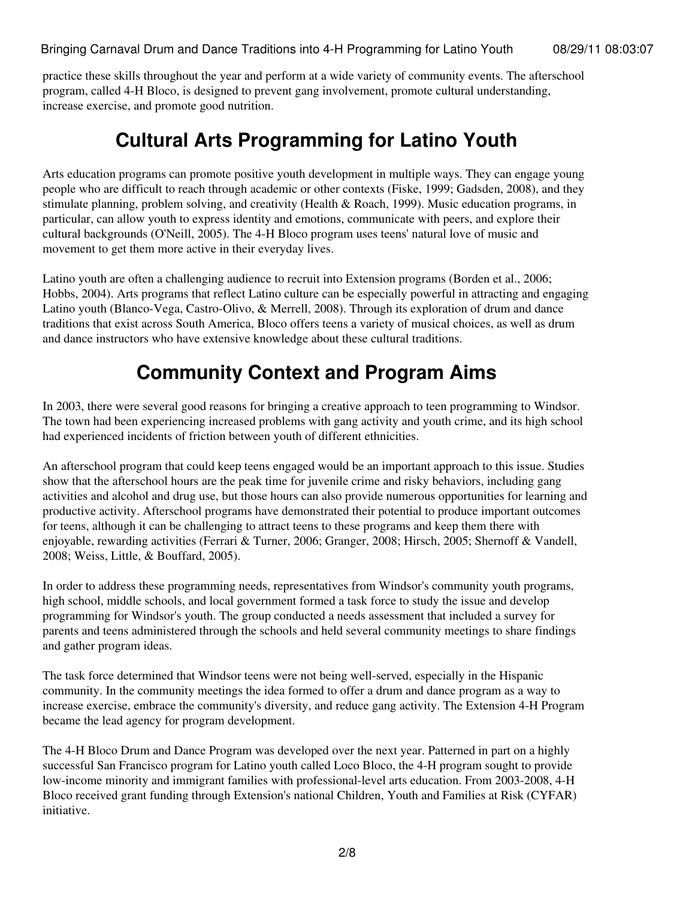practice these skills throughout the year and perform at a wide variety of community events. The afterschool program, called 4-H Bloco, is designed to prevent gang involvement, promote cultural understanding, increase exercise, and promote good nutrition.

## **Cultural Arts Programming for Latino Youth**

Arts education programs can promote positive youth development in multiple ways. They can engage young people who are difficult to reach through academic or other contexts (Fiske, 1999; Gadsden, 2008), and they stimulate planning, problem solving, and creativity (Health & Roach, 1999). Music education programs, in particular, can allow youth to express identity and emotions, communicate with peers, and explore their cultural backgrounds (O'Neill, 2005). The 4-H Bloco program uses teens' natural love of music and movement to get them more active in their everyday lives.

Latino youth are often a challenging audience to recruit into Extension programs (Borden et al., 2006; Hobbs, 2004). Arts programs that reflect Latino culture can be especially powerful in attracting and engaging Latino youth (Blanco-Vega, Castro-Olivo, & Merrell, 2008). Through its exploration of drum and dance traditions that exist across South America, Bloco offers teens a variety of musical choices, as well as drum and dance instructors who have extensive knowledge about these cultural traditions.

# **Community Context and Program Aims**

In 2003, there were several good reasons for bringing a creative approach to teen programming to Windsor. The town had been experiencing increased problems with gang activity and youth crime, and its high school had experienced incidents of friction between youth of different ethnicities.

An afterschool program that could keep teens engaged would be an important approach to this issue. Studies show that the afterschool hours are the peak time for juvenile crime and risky behaviors, including gang activities and alcohol and drug use, but those hours can also provide numerous opportunities for learning and productive activity. Afterschool programs have demonstrated their potential to produce important outcomes for teens, although it can be challenging to attract teens to these programs and keep them there with enjoyable, rewarding activities (Ferrari & Turner, 2006; Granger, 2008; Hirsch, 2005; Shernoff & Vandell, 2008; Weiss, Little, & Bouffard, 2005).

In order to address these programming needs, representatives from Windsor's community youth programs, high school, middle schools, and local government formed a task force to study the issue and develop programming for Windsor's youth. The group conducted a needs assessment that included a survey for parents and teens administered through the schools and held several community meetings to share findings and gather program ideas.

The task force determined that Windsor teens were not being well-served, especially in the Hispanic community. In the community meetings the idea formed to offer a drum and dance program as a way to increase exercise, embrace the community's diversity, and reduce gang activity. The Extension 4-H Program became the lead agency for program development.

The 4-H Bloco Drum and Dance Program was developed over the next year. Patterned in part on a highly successful San Francisco program for Latino youth called Loco Bloco, the 4-H program sought to provide low-income minority and immigrant families with professional-level arts education. From 2003-2008, 4-H Bloco received grant funding through Extension's national Children, Youth and Families at Risk (CYFAR) initiative.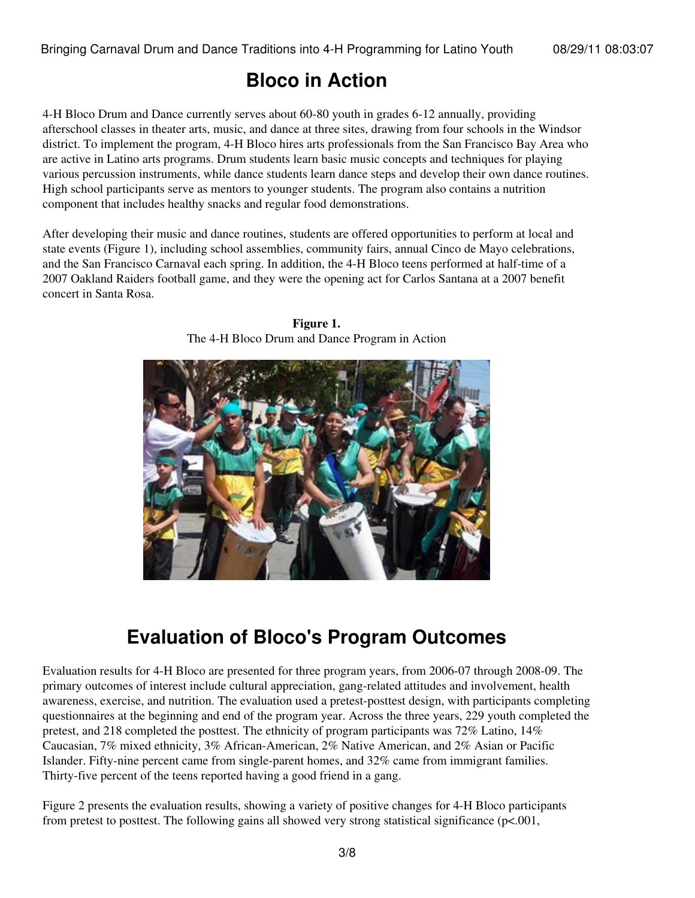### **Bloco in Action**

4-H Bloco Drum and Dance currently serves about 60-80 youth in grades 6-12 annually, providing afterschool classes in theater arts, music, and dance at three sites, drawing from four schools in the Windsor district. To implement the program, 4-H Bloco hires arts professionals from the San Francisco Bay Area who are active in Latino arts programs. Drum students learn basic music concepts and techniques for playing various percussion instruments, while dance students learn dance steps and develop their own dance routines. High school participants serve as mentors to younger students. The program also contains a nutrition component that includes healthy snacks and regular food demonstrations.

After developing their music and dance routines, students are offered opportunities to perform at local and state events (Figure 1), including school assemblies, community fairs, annual Cinco de Mayo celebrations, and the San Francisco Carnaval each spring. In addition, the 4-H Bloco teens performed at half-time of a 2007 Oakland Raiders football game, and they were the opening act for Carlos Santana at a 2007 benefit concert in Santa Rosa.



**Figure 1.** The 4-H Bloco Drum and Dance Program in Action

# **Evaluation of Bloco's Program Outcomes**

Evaluation results for 4-H Bloco are presented for three program years, from 2006-07 through 2008-09. The primary outcomes of interest include cultural appreciation, gang-related attitudes and involvement, health awareness, exercise, and nutrition. The evaluation used a pretest-posttest design, with participants completing questionnaires at the beginning and end of the program year. Across the three years, 229 youth completed the pretest, and 218 completed the posttest. The ethnicity of program participants was 72% Latino, 14% Caucasian, 7% mixed ethnicity, 3% African-American, 2% Native American, and 2% Asian or Pacific Islander. Fifty-nine percent came from single-parent homes, and 32% came from immigrant families. Thirty-five percent of the teens reported having a good friend in a gang.

Figure 2 presents the evaluation results, showing a variety of positive changes for 4-H Bloco participants from pretest to posttest. The following gains all showed very strong statistical significance (p<.001,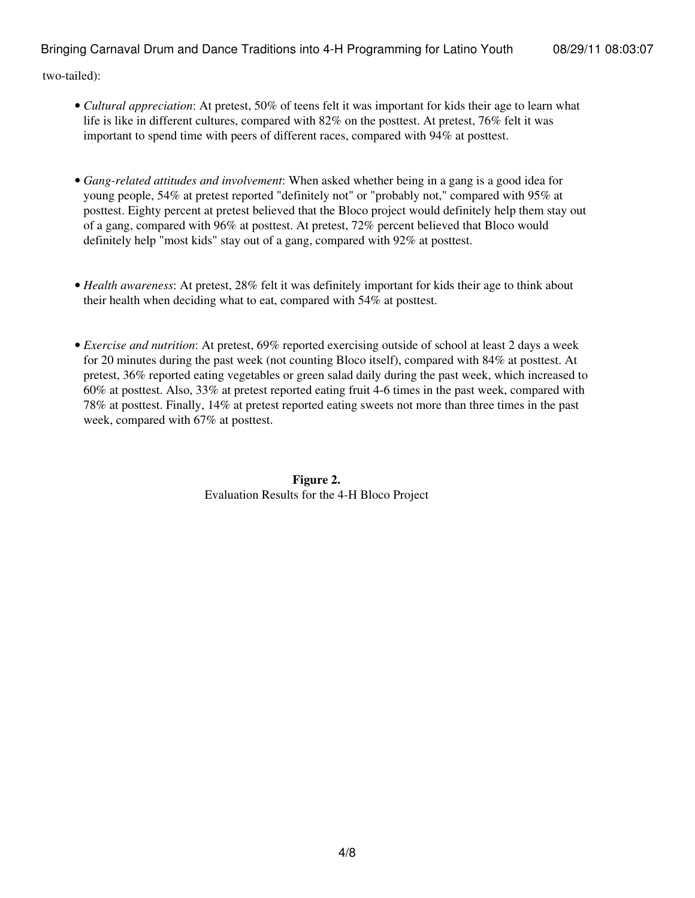two-tailed):

- Cultural appreciation: At pretest, 50% of teens felt it was important for kids their age to learn what life is like in different cultures, compared with 82% on the posttest. At pretest, 76% felt it was important to spend time with peers of different races, compared with 94% at posttest.
- *Gang-related attitudes and involvement*: When asked whether being in a gang is a good idea for young people, 54% at pretest reported "definitely not" or "probably not," compared with 95% at posttest. Eighty percent at pretest believed that the Bloco project would definitely help them stay out of a gang, compared with 96% at posttest. At pretest, 72% percent believed that Bloco would definitely help "most kids" stay out of a gang, compared with 92% at posttest.
- *Health awareness*: At pretest, 28% felt it was definitely important for kids their age to think about their health when deciding what to eat, compared with 54% at posttest.
- *Exercise and nutrition*: At pretest, 69% reported exercising outside of school at least 2 days a week for 20 minutes during the past week (not counting Bloco itself), compared with 84% at posttest. At pretest, 36% reported eating vegetables or green salad daily during the past week, which increased to 60% at posttest. Also, 33% at pretest reported eating fruit 4-6 times in the past week, compared with 78% at posttest. Finally, 14% at pretest reported eating sweets not more than three times in the past week, compared with 67% at posttest.

**Figure 2.** Evaluation Results for the 4-H Bloco Project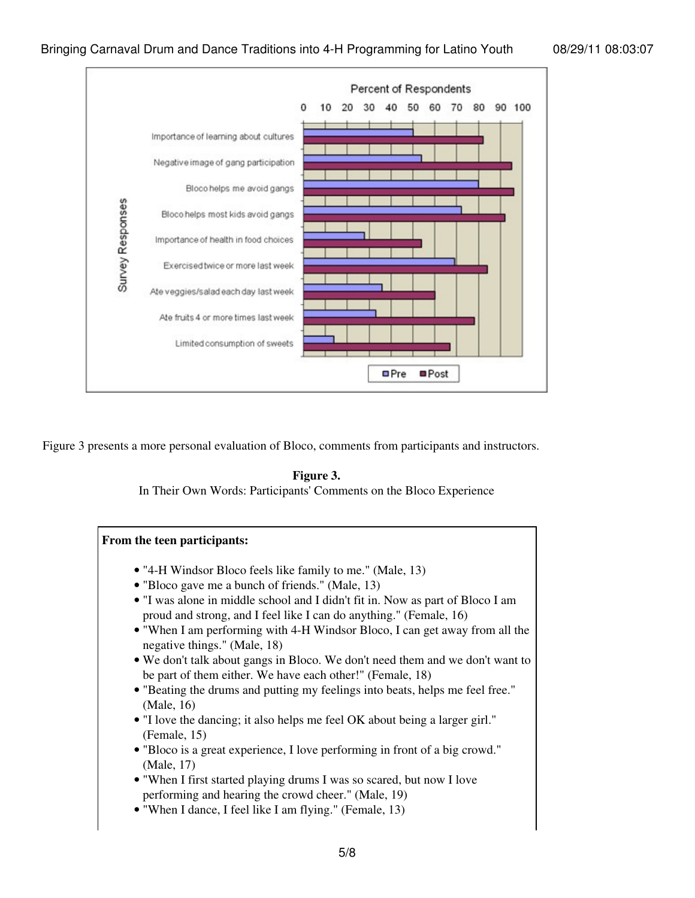

Figure 3 presents a more personal evaluation of Bloco, comments from participants and instructors.

#### **Figure 3.**

In Their Own Words: Participants' Comments on the Bloco Experience

#### **From the teen participants:** • "4-H Windsor Bloco feels like family to me." (Male, 13) • "Bloco gave me a bunch of friends." (Male, 13) • "I was alone in middle school and I didn't fit in. Now as part of Bloco I am proud and strong, and I feel like I can do anything." (Female, 16) • "When I am performing with 4-H Windsor Bloco, I can get away from all the negative things." (Male, 18) We don't talk about gangs in Bloco. We don't need them and we don't want to • be part of them either. We have each other!" (Female, 18) "Beating the drums and putting my feelings into beats, helps me feel free." • (Male, 16) "I love the dancing; it also helps me feel OK about being a larger girl." • (Female, 15) "Bloco is a great experience, I love performing in front of a big crowd." • (Male, 17) • "When I first started playing drums I was so scared, but now I love performing and hearing the crowd cheer." (Male, 19) • "When I dance, I feel like I am flying." (Female, 13)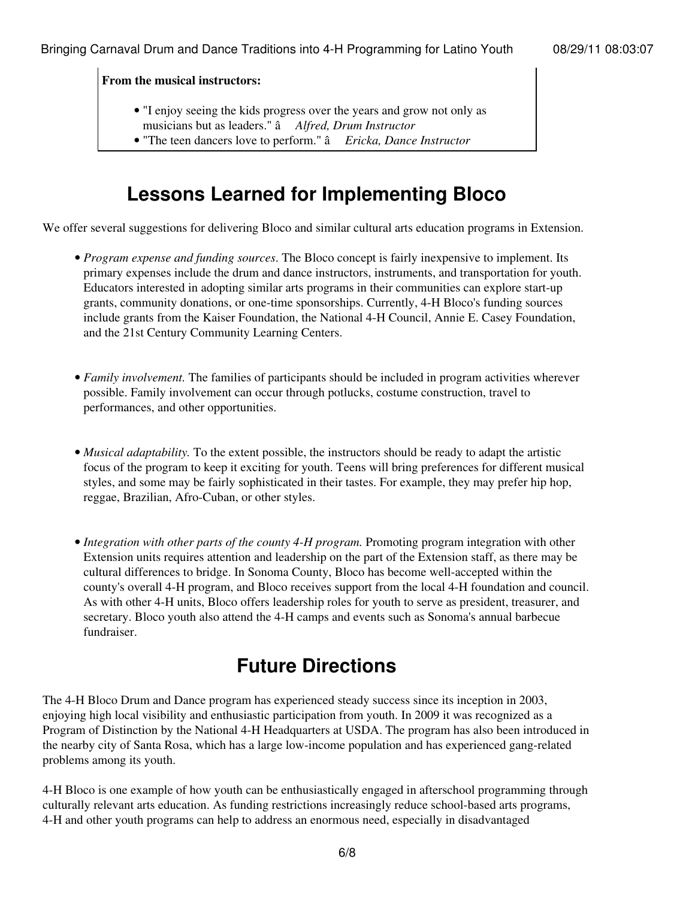**From the musical instructors:**

- "I enjoy seeing the kids progress over the years and grow not only as musicians but as leaders." â *Alfred, Drum Instructor*
- "The teen dancers love to perform." â *Ericka, Dance Instructor*

## **Lessons Learned for Implementing Bloco**

We offer several suggestions for delivering Bloco and similar cultural arts education programs in Extension.

- Program expense and funding sources. The Bloco concept is fairly inexpensive to implement. Its primary expenses include the drum and dance instructors, instruments, and transportation for youth. Educators interested in adopting similar arts programs in their communities can explore start-up grants, community donations, or one-time sponsorships. Currently, 4-H Bloco's funding sources include grants from the Kaiser Foundation, the National 4-H Council, Annie E. Casey Foundation, and the 21st Century Community Learning Centers.
- Family involvement. The families of participants should be included in program activities wherever possible. Family involvement can occur through potlucks, costume construction, travel to performances, and other opportunities.
- Musical adaptability. To the extent possible, the instructors should be ready to adapt the artistic focus of the program to keep it exciting for youth. Teens will bring preferences for different musical styles, and some may be fairly sophisticated in their tastes. For example, they may prefer hip hop, reggae, Brazilian, Afro-Cuban, or other styles.
- Integration with other parts of the county 4-H program. Promoting program integration with other Extension units requires attention and leadership on the part of the Extension staff, as there may be cultural differences to bridge. In Sonoma County, Bloco has become well-accepted within the county's overall 4-H program, and Bloco receives support from the local 4-H foundation and council. As with other 4-H units, Bloco offers leadership roles for youth to serve as president, treasurer, and secretary. Bloco youth also attend the 4-H camps and events such as Sonoma's annual barbecue fundraiser.

# **Future Directions**

The 4-H Bloco Drum and Dance program has experienced steady success since its inception in 2003, enjoying high local visibility and enthusiastic participation from youth. In 2009 it was recognized as a Program of Distinction by the National 4-H Headquarters at USDA. The program has also been introduced in the nearby city of Santa Rosa, which has a large low-income population and has experienced gang-related problems among its youth.

4-H Bloco is one example of how youth can be enthusiastically engaged in afterschool programming through culturally relevant arts education. As funding restrictions increasingly reduce school-based arts programs, 4-H and other youth programs can help to address an enormous need, especially in disadvantaged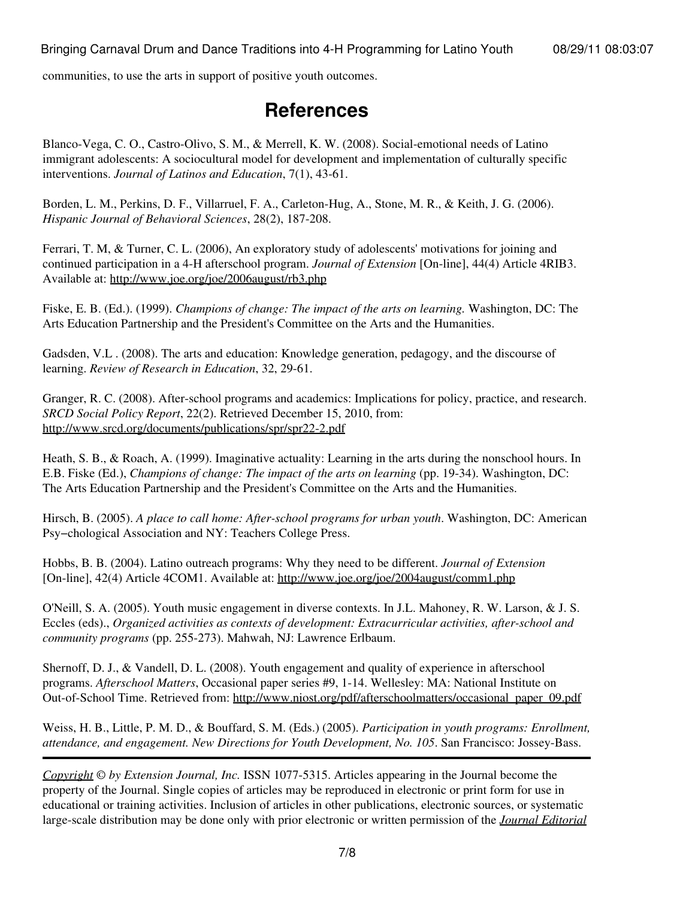communities, to use the arts in support of positive youth outcomes.

### **References**

Blanco-Vega, C. O., Castro-Olivo, S. M., & Merrell, K. W. (2008). Social-emotional needs of Latino immigrant adolescents: A sociocultural model for development and implementation of culturally specific interventions. *Journal of Latinos and Education*, 7(1), 43-61.

Borden, L. M., Perkins, D. F., Villarruel, F. A., Carleton-Hug, A., Stone, M. R., & Keith, J. G. (2006). *Hispanic Journal of Behavioral Sciences*, 28(2), 187-208.

Ferrari, T. M, & Turner, C. L. (2006), An exploratory study of adolescents' motivations for joining and continued participation in a 4-H afterschool program. *Journal of Extension* [On-line], 44(4) Article 4RIB3. Available at: <http://www.joe.org/joe/2006august/rb3.php>

Fiske, E. B. (Ed.). (1999). *Champions of change: The impact of the arts on learning.* Washington, DC: The Arts Education Partnership and the President's Committee on the Arts and the Humanities.

Gadsden, V.L . (2008). The arts and education: Knowledge generation, pedagogy, and the discourse of learning. *Review of Research in Education*, 32, 29-61.

Granger, R. C. (2008). After-school programs and academics: Implications for policy, practice, and research. *SRCD Social Policy Report*, 22(2). Retrieved December 15, 2010, from: <http://www.srcd.org/documents/publications/spr/spr22-2.pdf>

Heath, S. B., & Roach, A. (1999). Imaginative actuality: Learning in the arts during the nonschool hours. In E.B. Fiske (Ed.), *Champions of change: The impact of the arts on learning* (pp. 19-34). Washington, DC: The Arts Education Partnership and the President's Committee on the Arts and the Humanities.

Hirsch, B. (2005). *A place to call home: After-school programs for urban youth*. Washington, DC: American Psy−chological Association and NY: Teachers College Press.

Hobbs, B. B. (2004). Latino outreach programs: Why they need to be different. *Journal of Extension* [On-line], 42(4) Article 4COM1. Available at: <http://www.joe.org/joe/2004august/comm1.php>

O'Neill, S. A. (2005). Youth music engagement in diverse contexts. In J.L. Mahoney, R. W. Larson, & J. S. Eccles (eds)., *Organized activities as contexts of development: Extracurricular activities, after-school and community programs* (pp. 255-273). Mahwah, NJ: Lawrence Erlbaum.

Shernoff, D. J., & Vandell, D. L. (2008). Youth engagement and quality of experience in afterschool programs. *Afterschool Matters*, Occasional paper series #9, 1-14. Wellesley: MA: National Institute on Out-of-School Time. Retrieved from: [http://www.niost.org/pdf/afterschoolmatters/occasional\\_paper\\_09.pdf](http://www.niost.org/pdf/afterschoolmatters/occasional_paper_09.pdf)

Weiss, H. B., Little, P. M. D., & Bouffard, S. M. (Eds.) (2005). *Participation in youth programs: Enrollment, attendance, and engagement. New Directions for Youth Development, No. 105*. San Francisco: Jossey-Bass.

*[Copyright](http://www.joe.org:80/joe/2011august/../../copyright.html) © by Extension Journal, Inc.* ISSN 1077-5315. Articles appearing in the Journal become the property of the Journal. Single copies of articles may be reproduced in electronic or print form for use in educational or training activities. Inclusion of articles in other publications, electronic sources, or systematic large-scale distribution may be done only with prior electronic or written permission of the *[Journal Editorial](http://www.joe.org:80/joe/2011august/../../joe-jeo.html)*